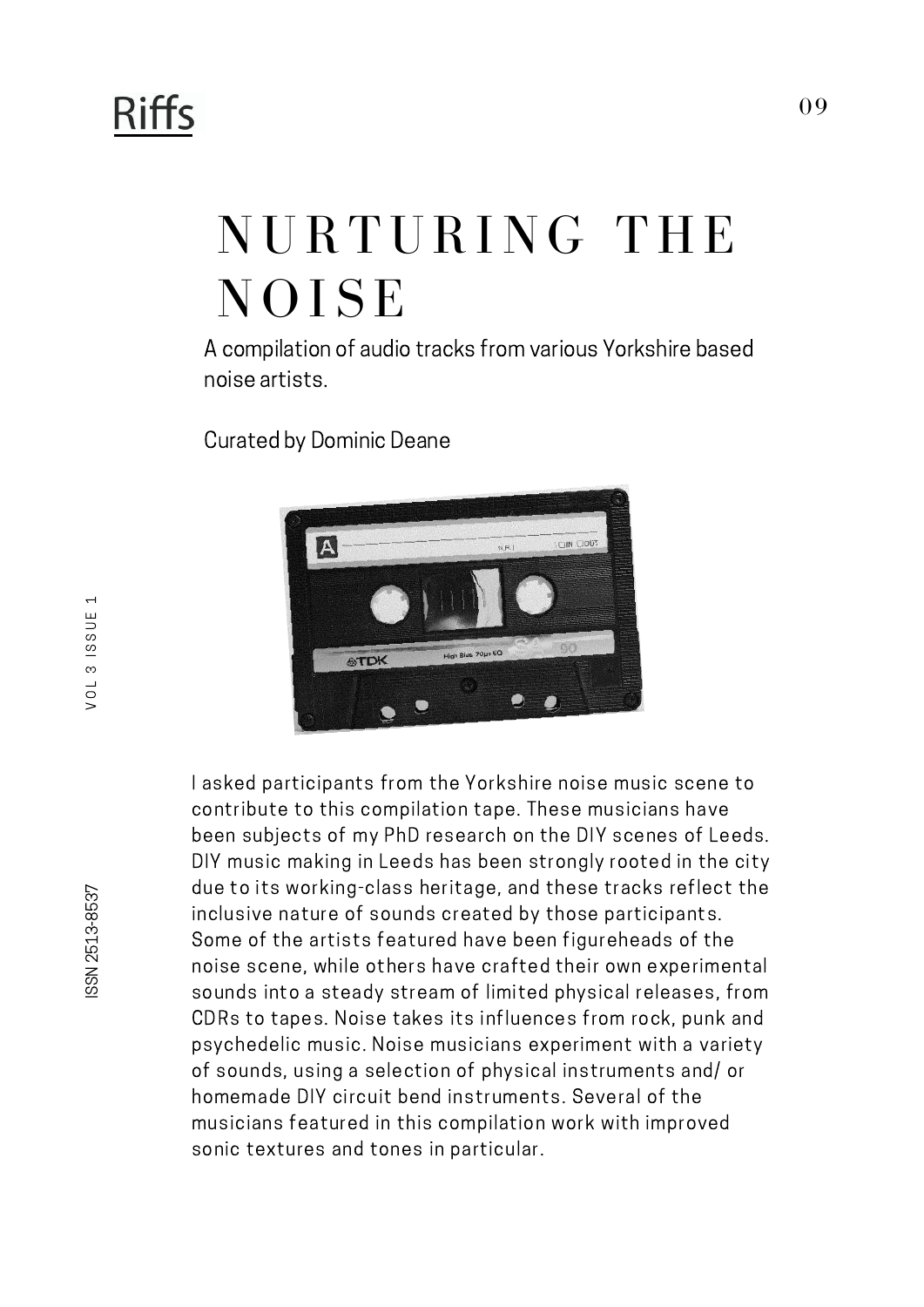## **Riffs**

## NURTURING THE **NOISE**

A compilation of audio tracks from various Yorkshire based noise artists.

Curated by Dominic Deane



I asked participants from the Yorkshire noise music scene to contribute to this compilation tape. These musicians have been subjects of my PhD research on the DIY scenes of Leeds. DIY music making in Leeds has been strongly rooted in the city due to its working-class heritage, and these tracks reflect the inclusive nature of sounds created by those participants. Some of the artists featured have been figureheads of the noise scene, while others have crafted their own experimental sounds into a steady stream of limited physical releases, from CDRs to tapes. Noise takes its influences from rock, punk and psychedelic music. Noise musicians experiment with a variety of sounds, using a selection of physical instruments and/ or homemade DIY circuit bend instruments. Several of the musicians featured in this compilation work with improved sonic textures and tones in particular.